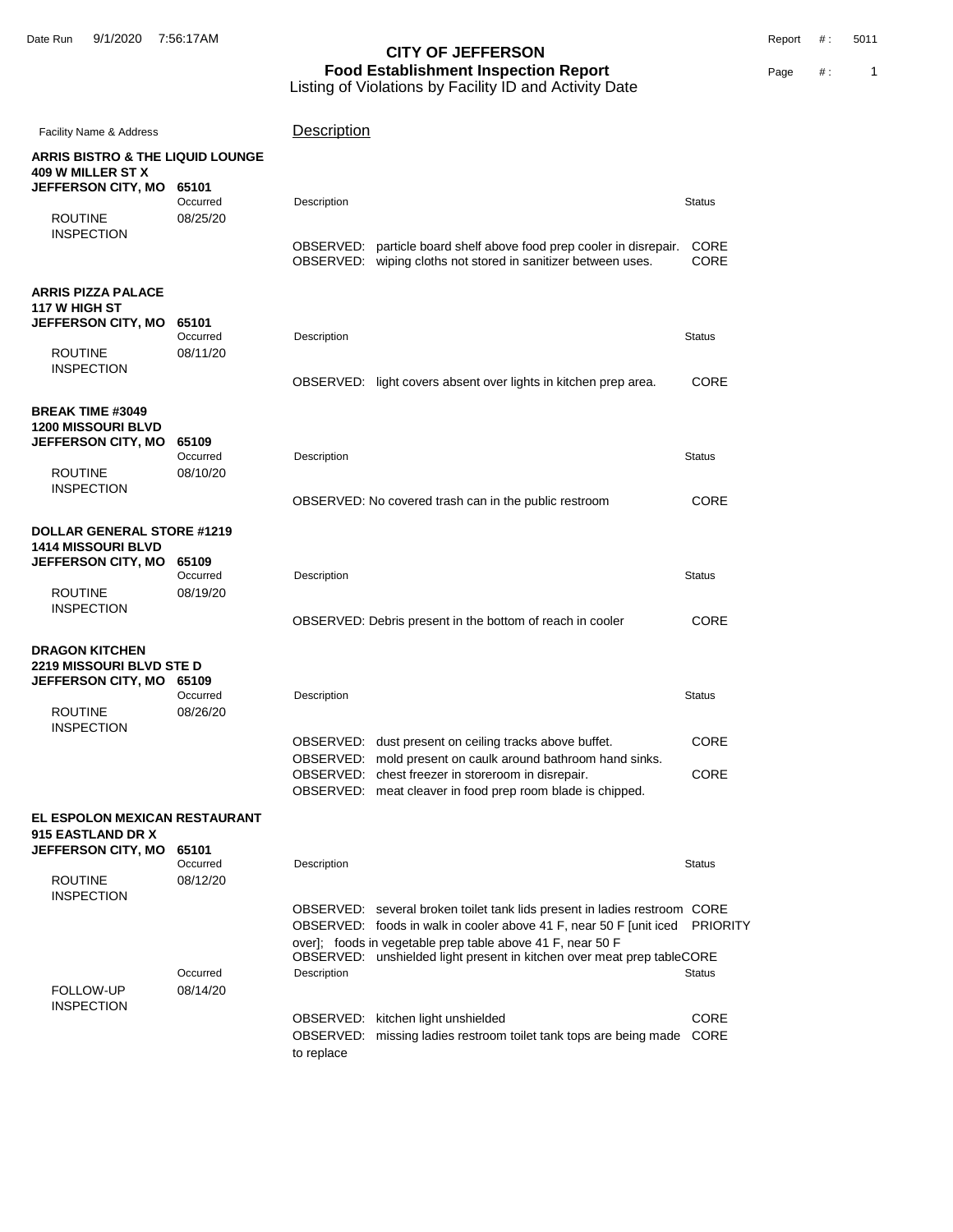Date Run 9/1/2020 7:56:17AM Report #: 5011

| Facility Name & Address                                                                     |                               | Description                                                                                                                                                                                                                                                                                             |                                  |
|---------------------------------------------------------------------------------------------|-------------------------------|---------------------------------------------------------------------------------------------------------------------------------------------------------------------------------------------------------------------------------------------------------------------------------------------------------|----------------------------------|
| <b>ARRIS BISTRO &amp; THE LIQUID LOUNGE</b><br><b>409 W MILLER ST X</b>                     |                               |                                                                                                                                                                                                                                                                                                         |                                  |
| <b>JEFFERSON CITY, MO</b><br><b>ROUTINE</b>                                                 | 65101<br>Occurred<br>08/25/20 | Description                                                                                                                                                                                                                                                                                             | <b>Status</b>                    |
| <b>INSPECTION</b>                                                                           |                               | OBSERVED: particle board shelf above food prep cooler in disrepair.<br>OBSERVED: wiping cloths not stored in sanitizer between uses.                                                                                                                                                                    | <b>CORE</b><br><b>CORE</b>       |
| <b>ARRIS PIZZA PALACE</b><br>117 W HIGH ST<br>JEFFERSON CITY, MO                            | 65101                         |                                                                                                                                                                                                                                                                                                         |                                  |
| <b>ROUTINE</b><br><b>INSPECTION</b>                                                         | Occurred<br>08/11/20          | Description<br>OBSERVED: light covers absent over lights in kitchen prep area.                                                                                                                                                                                                                          | <b>Status</b><br><b>CORE</b>     |
| <b>BREAK TIME #3049</b><br><b>1200 MISSOURI BLVD</b>                                        |                               |                                                                                                                                                                                                                                                                                                         |                                  |
| <b>JEFFERSON CITY, MO</b><br><b>ROUTINE</b>                                                 | 65109<br>Occurred<br>08/10/20 | Description                                                                                                                                                                                                                                                                                             | <b>Status</b>                    |
| <b>INSPECTION</b>                                                                           |                               | OBSERVED: No covered trash can in the public restroom                                                                                                                                                                                                                                                   | CORE                             |
| <b>DOLLAR GENERAL STORE #1219</b><br><b>1414 MISSOURI BLVD</b><br><b>JEFFERSON CITY, MO</b> | 65109                         |                                                                                                                                                                                                                                                                                                         |                                  |
| <b>ROUTINE</b><br><b>INSPECTION</b>                                                         | Occurred<br>08/19/20          | Description                                                                                                                                                                                                                                                                                             | <b>Status</b>                    |
|                                                                                             |                               | OBSERVED: Debris present in the bottom of reach in cooler                                                                                                                                                                                                                                               | <b>CORE</b>                      |
| <b>DRAGON KITCHEN</b><br><b>2219 MISSOURI BLVD STE D</b><br>JEFFERSON CITY, MO              | 65109                         |                                                                                                                                                                                                                                                                                                         |                                  |
| <b>ROUTINE</b><br><b>INSPECTION</b>                                                         | Occurred<br>08/26/20          | Description                                                                                                                                                                                                                                                                                             | <b>Status</b>                    |
|                                                                                             |                               | OBSERVED: dust present on ceiling tracks above buffet.<br>OBSERVED: mold present on caulk around bathroom hand sinks.<br>OBSERVED: chest freezer in storeroom in disrepair.<br>OBSERVED: meat cleaver in food prep room blade is chipped.                                                               | <b>CORE</b><br><b>CORE</b>       |
| EL ESPOLON MEXICAN RESTAURANT<br>915 EASTLAND DR X                                          |                               |                                                                                                                                                                                                                                                                                                         |                                  |
| JEFFERSON CITY, MO<br><b>ROUTINE</b>                                                        | 65101<br>Occurred<br>08/12/20 | Description                                                                                                                                                                                                                                                                                             | <b>Status</b>                    |
| <b>INSPECTION</b><br>FOLLOW-UP                                                              | Occurred<br>08/14/20          | OBSERVED: several broken toilet tank lids present in ladies restroom CORE<br>OBSERVED: foods in walk in cooler above 41 F, near 50 F [unit iced]<br>over]; foods in vegetable prep table above 41 F, near 50 F<br>OBSERVED: unshielded light present in kitchen over meat prep tableCORE<br>Description | <b>PRIORITY</b><br><b>Status</b> |
| <b>INSPECTION</b>                                                                           |                               | OBSERVED: kitchen light unshielded<br>missing ladies restroom toilet tank tops are being made<br>OBSERVED:<br>to replace                                                                                                                                                                                | CORE<br><b>CORE</b>              |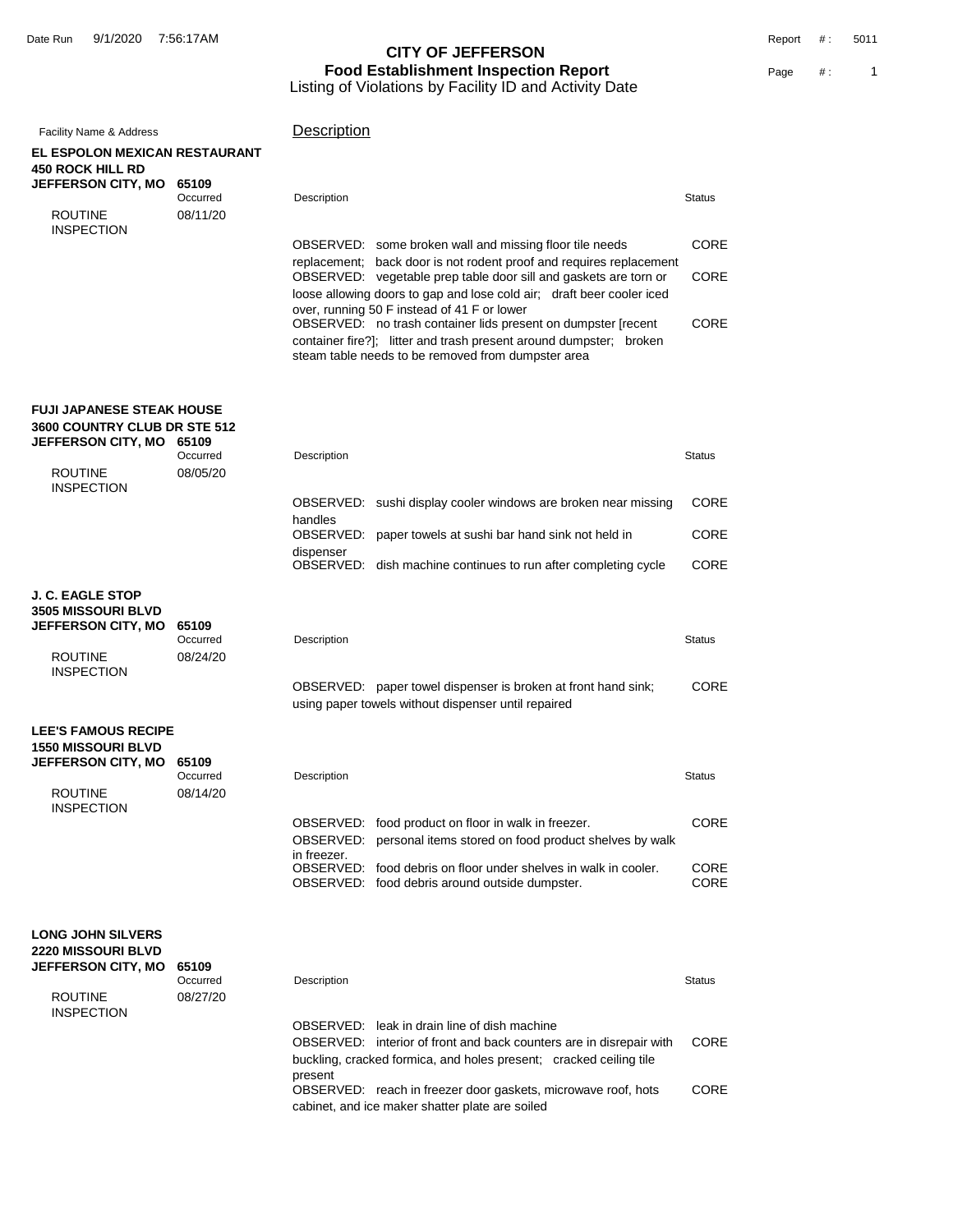| Facility Name & Address                                   |                      | Description                                                                                                              |               |
|-----------------------------------------------------------|----------------------|--------------------------------------------------------------------------------------------------------------------------|---------------|
| EL ESPOLON MEXICAN RESTAURANT                             |                      |                                                                                                                          |               |
| 450 ROCK HILL RD<br><b>JEFFERSON CITY, MO</b>             | 65109                |                                                                                                                          |               |
|                                                           | Occurred             | Description                                                                                                              | <b>Status</b> |
| <b>ROUTINE</b>                                            | 08/11/20             |                                                                                                                          |               |
| <b>INSPECTION</b>                                         |                      | OBSERVED: some broken wall and missing floor tile needs                                                                  | <b>CORE</b>   |
|                                                           |                      | replacement; back door is not rodent proof and requires replacement                                                      |               |
|                                                           |                      | OBSERVED: vegetable prep table door sill and gaskets are torn or                                                         | <b>CORE</b>   |
|                                                           |                      | loose allowing doors to gap and lose cold air; draft beer cooler iced<br>over, running 50 F instead of 41 F or lower     |               |
|                                                           |                      | OBSERVED: no trash container lids present on dumpster [recent]                                                           | CORE          |
|                                                           |                      | container fire?]; litter and trash present around dumpster; broken<br>steam table needs to be removed from dumpster area |               |
|                                                           |                      |                                                                                                                          |               |
|                                                           |                      |                                                                                                                          |               |
| FUJI JAPANESE STEAK HOUSE                                 |                      |                                                                                                                          |               |
| <b>3600 COUNTRY CLUB DR STE 512</b><br>JEFFERSON CITY, MO | 65109                |                                                                                                                          |               |
|                                                           | Occurred             | Description                                                                                                              | <b>Status</b> |
| <b>ROUTINE</b>                                            | 08/05/20             |                                                                                                                          |               |
| <b>INSPECTION</b>                                         |                      | OBSERVED: sushi display cooler windows are broken near missing                                                           | <b>CORE</b>   |
|                                                           |                      | handles                                                                                                                  |               |
|                                                           |                      | OBSERVED: paper towels at sushi bar hand sink not held in                                                                | <b>CORE</b>   |
|                                                           |                      | dispenser<br>OBSERVED: dish machine continues to run after completing cycle                                              | <b>CORE</b>   |
|                                                           |                      |                                                                                                                          |               |
| J. C. EAGLE STOP<br><b>3505 MISSOURI BLVD</b>             |                      |                                                                                                                          |               |
| JEFFERSON CITY, MO                                        | 65109                |                                                                                                                          |               |
| <b>ROUTINE</b>                                            | Occurred<br>08/24/20 | Description                                                                                                              | <b>Status</b> |
| <b>INSPECTION</b>                                         |                      |                                                                                                                          |               |
|                                                           |                      | OBSERVED: paper towel dispenser is broken at front hand sink;                                                            | CORE          |
|                                                           |                      | using paper towels without dispenser until repaired                                                                      |               |
| <b>LEE'S FAMOUS RECIPE</b>                                |                      |                                                                                                                          |               |
| <b>1550 MISSOURI BLVD</b><br><b>JEFFERSON CITY, MO</b>    | 65109                |                                                                                                                          |               |
|                                                           | Occurred             | Description                                                                                                              | <b>Status</b> |
| <b>ROUTINE</b>                                            | 08/14/20             |                                                                                                                          |               |
| <b>INSPECTION</b>                                         |                      | OBSERVED: food product on floor in walk in freezer.                                                                      | <b>CORE</b>   |
|                                                           |                      | OBSERVED: personal items stored on food product shelves by walk                                                          |               |
|                                                           |                      | in freezer.<br>OBSERVED: food debris on floor under shelves in walk in cooler.                                           | CORE          |
|                                                           |                      | OBSERVED: food debris around outside dumpster.                                                                           | CORE          |
|                                                           |                      |                                                                                                                          |               |
| <b>LONG JOHN SILVERS</b>                                  |                      |                                                                                                                          |               |
| 2220 MISSOURI BLVD                                        |                      |                                                                                                                          |               |
| JEFFERSON CITY, MO                                        | 65109<br>Occurred    | Description                                                                                                              | <b>Status</b> |
| <b>ROUTINE</b>                                            | 08/27/20             |                                                                                                                          |               |
| <b>INSPECTION</b>                                         |                      |                                                                                                                          |               |
|                                                           |                      | OBSERVED: leak in drain line of dish machine<br>OBSERVED: interior of front and back counters are in disrepair with      | <b>CORE</b>   |
|                                                           |                      | buckling, cracked formica, and holes present; cracked ceiling tile                                                       |               |
|                                                           |                      | present                                                                                                                  |               |
|                                                           |                      | OBSERVED: reach in freezer door gaskets, microwave roof, hots<br>cabinet, and ice maker shatter plate are soiled         | CORE          |
|                                                           |                      |                                                                                                                          |               |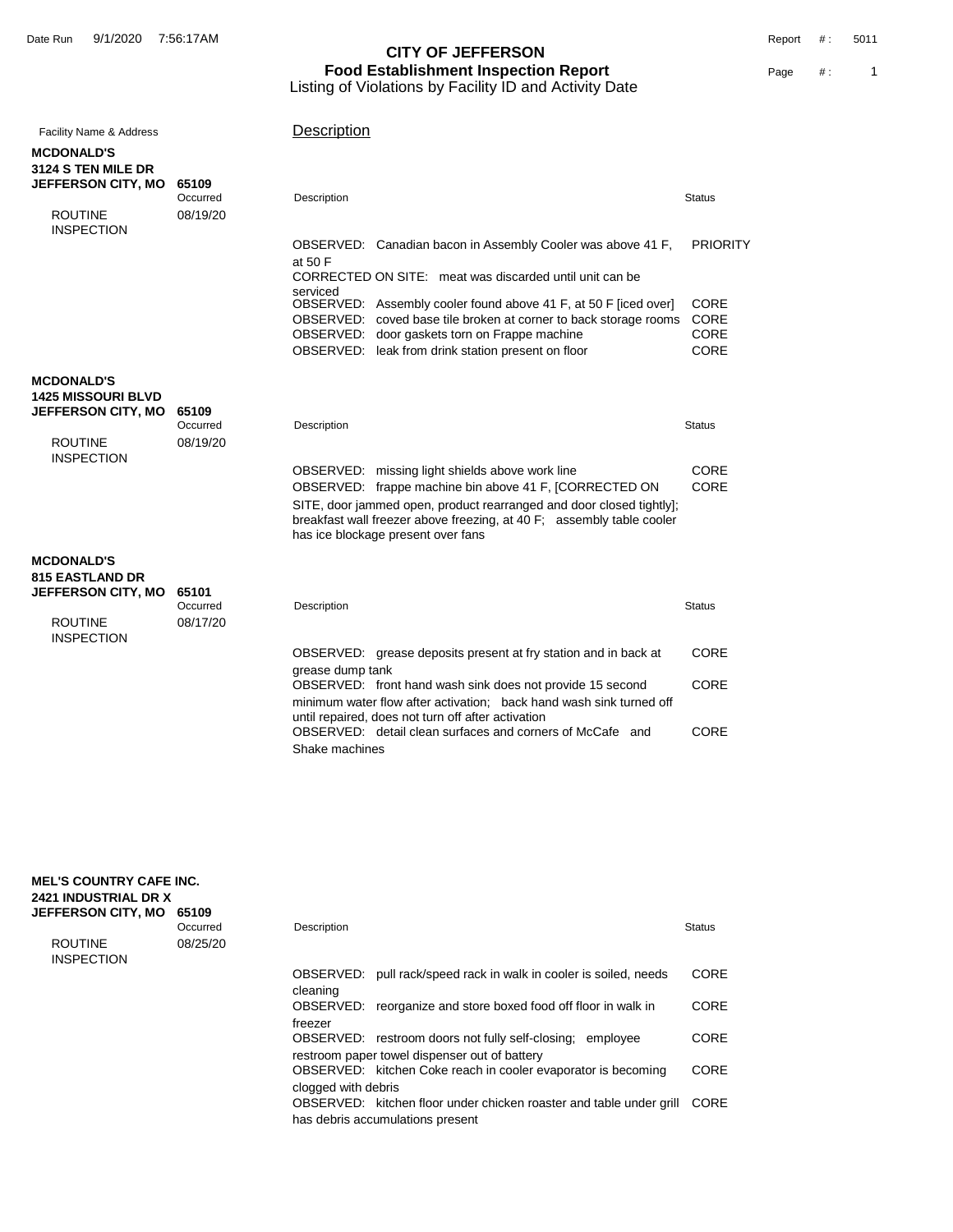| <b>Facility Name &amp; Address</b>             |                   | Description                                                                                                                                                                                                                                   |                            |
|------------------------------------------------|-------------------|-----------------------------------------------------------------------------------------------------------------------------------------------------------------------------------------------------------------------------------------------|----------------------------|
| <b>MCDONALD'S</b><br><b>3124 S TEN MILE DR</b> |                   |                                                                                                                                                                                                                                               |                            |
| <b>JEFFERSON CITY, MO</b>                      | 65109<br>Occurred | Description                                                                                                                                                                                                                                   | <b>Status</b>              |
| <b>ROUTINE</b><br><b>INSPECTION</b>            | 08/19/20          |                                                                                                                                                                                                                                               |                            |
|                                                |                   | OBSERVED: Canadian bacon in Assembly Cooler was above 41 F,<br>at 50 F                                                                                                                                                                        | <b>PRIORITY</b>            |
|                                                |                   | CORRECTED ON SITE: meat was discarded until unit can be<br>serviced                                                                                                                                                                           |                            |
|                                                |                   | OBSERVED: Assembly cooler found above 41 F, at 50 F [iced over]<br>OBSERVED: coved base tile broken at corner to back storage rooms                                                                                                           | <b>CORE</b><br><b>CORE</b> |
|                                                |                   | OBSERVED: door gaskets torn on Frappe machine<br>OBSERVED: leak from drink station present on floor                                                                                                                                           | CORE<br><b>CORE</b>        |
| <b>MCDONALD'S</b>                              |                   |                                                                                                                                                                                                                                               |                            |
| <b>1425 MISSOURI BLVD</b>                      |                   |                                                                                                                                                                                                                                               |                            |
| <b>JEFFERSON CITY, MO</b>                      | 65109<br>Occurred | Description                                                                                                                                                                                                                                   | <b>Status</b>              |
| <b>ROUTINE</b><br><b>INSPECTION</b>            | 08/19/20          |                                                                                                                                                                                                                                               |                            |
|                                                |                   | OBSERVED: missing light shields above work line                                                                                                                                                                                               | CORE<br>CORE               |
|                                                |                   | OBSERVED: frappe machine bin above 41 F, [CORRECTED ON<br>SITE, door jammed open, product rearranged and door closed tightly];<br>breakfast wall freezer above freezing, at 40 F; assembly table cooler<br>has ice blockage present over fans |                            |
|                                                |                   |                                                                                                                                                                                                                                               |                            |
| <b>MCDONALD'S</b><br><b>815 EASTLAND DR</b>    |                   |                                                                                                                                                                                                                                               |                            |
| <b>JEFFERSON CITY, MO</b>                      | 65101<br>Occurred | Description                                                                                                                                                                                                                                   | <b>Status</b>              |
| <b>ROUTINE</b><br><b>INSPECTION</b>            | 08/17/20          |                                                                                                                                                                                                                                               |                            |
|                                                |                   | OBSERVED: grease deposits present at fry station and in back at                                                                                                                                                                               | <b>CORE</b>                |
|                                                |                   | grease dump tank<br>OBSERVED: front hand wash sink does not provide 15 second                                                                                                                                                                 | CORE                       |
|                                                |                   | minimum water flow after activation; back hand wash sink turned off                                                                                                                                                                           |                            |
|                                                |                   | until repaired, does not turn off after activation<br>OBSERVED: detail clean surfaces and corners of McCafe and                                                                                                                               | CORE                       |
|                                                |                   | Shake machines                                                                                                                                                                                                                                |                            |

| <b>MEL'S COUNTRY CAFE INC.</b><br><b>2421 INDUSTRIAL DR X</b> |                   |                     |                                                                     |               |
|---------------------------------------------------------------|-------------------|---------------------|---------------------------------------------------------------------|---------------|
| <b>JEFFERSON CITY, MO</b>                                     | 65109<br>Occurred | Description         |                                                                     | <b>Status</b> |
| <b>ROUTINE</b><br><b>INSPECTION</b>                           | 08/25/20          |                     |                                                                     |               |
|                                                               |                   | OBSERVED:           | pull rack/speed rack in walk in cooler is soiled, needs             | <b>CORE</b>   |
|                                                               |                   | cleaning            |                                                                     |               |
|                                                               |                   |                     | OBSERVED: reorganize and store boxed food off floor in walk in      | <b>CORE</b>   |
|                                                               |                   | freezer             |                                                                     |               |
|                                                               |                   |                     | OBSERVED: restroom doors not fully self-closing; employee           | <b>CORE</b>   |
|                                                               |                   |                     | restroom paper towel dispenser out of battery                       |               |
|                                                               |                   |                     | OBSERVED: kitchen Coke reach in cooler evaporator is becoming       | <b>CORE</b>   |
|                                                               |                   | clogged with debris |                                                                     |               |
|                                                               |                   |                     | OBSERVED: kitchen floor under chicken roaster and table under grill | CORE          |
|                                                               |                   |                     | has debris accumulations present                                    |               |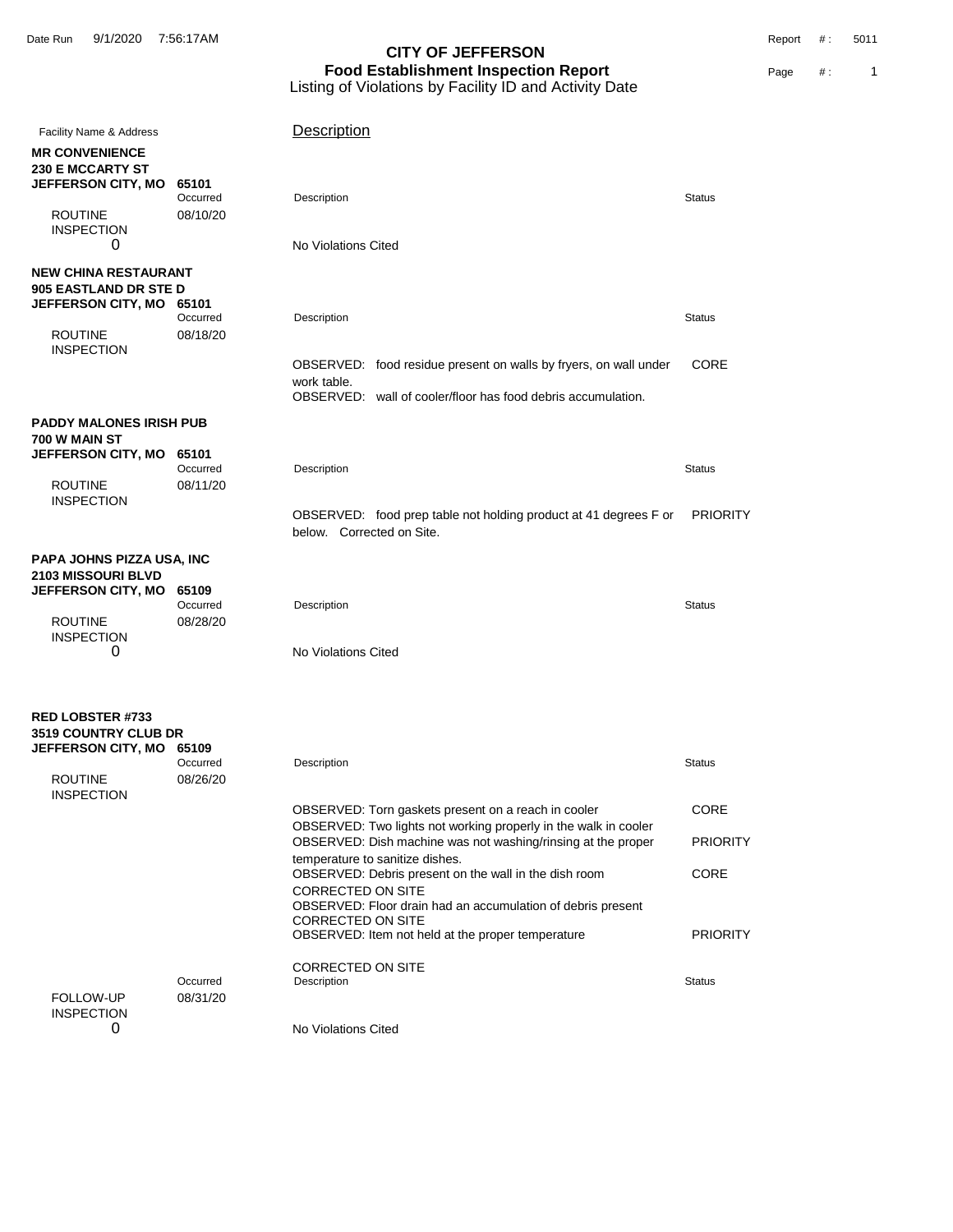Date Run 9/1/2020 7:56:17AM Report #: 5011

| Facility Name & Address                           |                      | Description                                                                                                                     |                 |
|---------------------------------------------------|----------------------|---------------------------------------------------------------------------------------------------------------------------------|-----------------|
| <b>MR CONVENIENCE</b><br><b>230 E MCCARTY ST</b>  |                      |                                                                                                                                 |                 |
| <b>JEFFERSON CITY, MO</b>                         | 65101<br>Occurred    | Description                                                                                                                     | <b>Status</b>   |
| <b>ROUTINE</b><br><b>INSPECTION</b>               | 08/10/20             |                                                                                                                                 |                 |
| 0                                                 |                      | No Violations Cited                                                                                                             |                 |
| <b>NEW CHINA RESTAURANT</b>                       |                      |                                                                                                                                 |                 |
| 905 EASTLAND DR STE D<br>JEFFERSON CITY, MO 65101 |                      |                                                                                                                                 |                 |
|                                                   | Occurred             | Description                                                                                                                     | <b>Status</b>   |
| <b>ROUTINE</b><br><b>INSPECTION</b>               | 08/18/20             |                                                                                                                                 |                 |
|                                                   |                      | OBSERVED: food residue present on walls by fryers, on wall under                                                                | CORE            |
|                                                   |                      | work table.<br>OBSERVED: wall of cooler/floor has food debris accumulation.                                                     |                 |
| PADDY MALONES IRISH PUB                           |                      |                                                                                                                                 |                 |
| 700 W MAIN ST                                     |                      |                                                                                                                                 |                 |
| <b>JEFFERSON CITY, MO</b>                         | 65101                |                                                                                                                                 |                 |
| <b>ROUTINE</b>                                    | Occurred<br>08/11/20 | Description                                                                                                                     | <b>Status</b>   |
| <b>INSPECTION</b>                                 |                      |                                                                                                                                 |                 |
|                                                   |                      | OBSERVED: food prep table not holding product at 41 degrees F or<br>below. Corrected on Site.                                   | <b>PRIORITY</b> |
| PAPA JOHNS PIZZA USA, INC                         |                      |                                                                                                                                 |                 |
| <b>2103 MISSOURI BLVD</b>                         |                      |                                                                                                                                 |                 |
| JEFFERSON CITY, MO                                | 65109<br>Occurred    |                                                                                                                                 | <b>Status</b>   |
| <b>ROUTINE</b>                                    | 08/28/20             | Description                                                                                                                     |                 |
| <b>INSPECTION</b>                                 |                      |                                                                                                                                 |                 |
| 0                                                 |                      | No Violations Cited                                                                                                             |                 |
| <b>RED LOBSTER #733</b>                           |                      |                                                                                                                                 |                 |
| <b>3519 COUNTRY CLUB DR</b>                       |                      |                                                                                                                                 |                 |
| <b>JEFFERSON CITY, MO</b>                         | 65109                |                                                                                                                                 |                 |
| <b>ROUTINE</b>                                    | Occurred<br>08/26/20 | Description                                                                                                                     | <b>Status</b>   |
| <b>INSPECTION</b>                                 |                      |                                                                                                                                 |                 |
|                                                   |                      | OBSERVED: Torn gaskets present on a reach in cooler                                                                             | CORE            |
|                                                   |                      | OBSERVED: Two lights not working properly in the walk in cooler<br>OBSERVED: Dish machine was not washing/rinsing at the proper | <b>PRIORITY</b> |
|                                                   |                      | temperature to sanitize dishes.                                                                                                 |                 |
|                                                   |                      | OBSERVED: Debris present on the wall in the dish room<br><b>CORRECTED ON SITE</b>                                               | CORE            |
|                                                   |                      | OBSERVED: Floor drain had an accumulation of debris present<br><b>CORRECTED ON SITE</b>                                         |                 |
|                                                   |                      | OBSERVED: Item not held at the proper temperature                                                                               | <b>PRIORITY</b> |
|                                                   |                      | <b>CORRECTED ON SITE</b>                                                                                                        |                 |
|                                                   | Occurred             | Description                                                                                                                     | <b>Status</b>   |
| FOLLOW-UP                                         | 08/31/20             |                                                                                                                                 |                 |
| <b>INSPECTION</b><br>0                            |                      | No Violations Cited                                                                                                             |                 |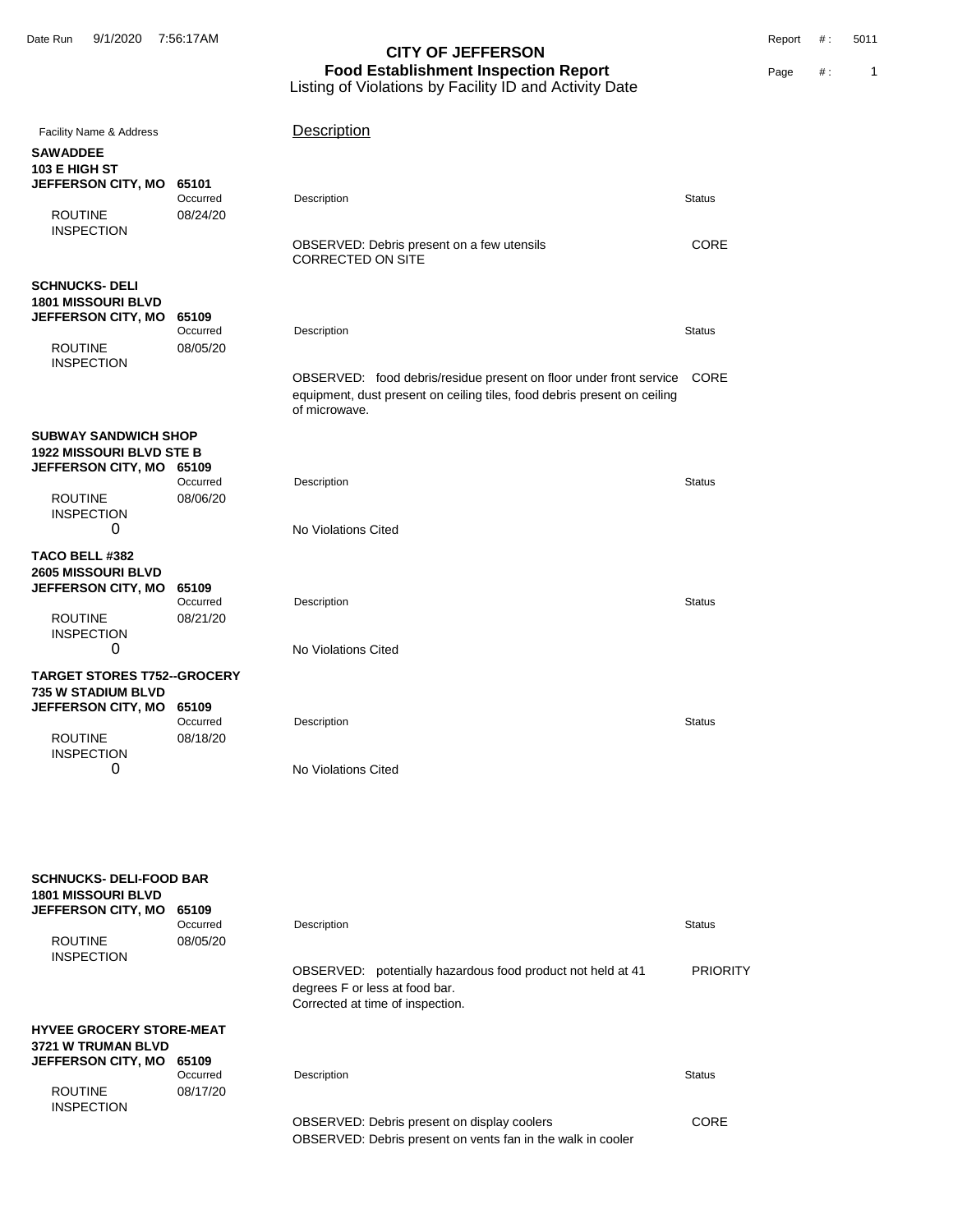| Facility Name & Address                                     |                      | Description                                                                                                                                                     |                 |
|-------------------------------------------------------------|----------------------|-----------------------------------------------------------------------------------------------------------------------------------------------------------------|-----------------|
| <b>SAWADDEE</b><br>103 E HIGH ST                            |                      |                                                                                                                                                                 |                 |
| JEFFERSON CITY, MO                                          | 65101<br>Occurred    | Description                                                                                                                                                     | <b>Status</b>   |
| <b>ROUTINE</b>                                              | 08/24/20             |                                                                                                                                                                 |                 |
| <b>INSPECTION</b>                                           |                      | OBSERVED: Debris present on a few utensils<br><b>CORRECTED ON SITE</b>                                                                                          | CORE            |
| <b>SCHNUCKS- DELI</b>                                       |                      |                                                                                                                                                                 |                 |
| <b>1801 MISSOURI BLVD</b><br><b>JEFFERSON CITY, MO</b>      | 65109                |                                                                                                                                                                 |                 |
|                                                             | Occurred             | Description                                                                                                                                                     | <b>Status</b>   |
| <b>ROUTINE</b><br><b>INSPECTION</b>                         | 08/05/20             |                                                                                                                                                                 |                 |
|                                                             |                      | OBSERVED: food debris/residue present on floor under front service<br>equipment, dust present on ceiling tiles, food debris present on ceiling<br>of microwave. | <b>CORE</b>     |
| <b>SUBWAY SANDWICH SHOP</b>                                 |                      |                                                                                                                                                                 |                 |
| <b>1922 MISSOURI BLVD STE B</b><br>JEFFERSON CITY, MO 65109 |                      |                                                                                                                                                                 |                 |
| <b>ROUTINE</b>                                              | Occurred<br>08/06/20 | Description                                                                                                                                                     | <b>Status</b>   |
| <b>INSPECTION</b>                                           |                      |                                                                                                                                                                 |                 |
| 0                                                           |                      | No Violations Cited                                                                                                                                             |                 |
| <b>TACO BELL #382</b><br><b>2605 MISSOURI BLVD</b>          |                      |                                                                                                                                                                 |                 |
| <b>JEFFERSON CITY, MO</b>                                   | 65109                |                                                                                                                                                                 |                 |
| <b>ROUTINE</b>                                              | Occurred<br>08/21/20 | Description                                                                                                                                                     | <b>Status</b>   |
| <b>INSPECTION</b><br>0                                      |                      | No Violations Cited                                                                                                                                             |                 |
| <b>TARGET STORES T752--GROCERY</b>                          |                      |                                                                                                                                                                 |                 |
| <b>735 W STADIUM BLVD</b>                                   |                      |                                                                                                                                                                 |                 |
| <b>JEFFERSON CITY, MO</b>                                   | 65109<br>Occurred    | Description                                                                                                                                                     | <b>Status</b>   |
| <b>ROUTINE</b>                                              | 08/18/20             |                                                                                                                                                                 |                 |
| <b>INSPECTION</b><br>0                                      |                      | No Violations Cited                                                                                                                                             |                 |
|                                                             |                      |                                                                                                                                                                 |                 |
|                                                             |                      |                                                                                                                                                                 |                 |
| <b>SCHNUCKS- DELI-FOOD BAR</b>                              |                      |                                                                                                                                                                 |                 |
| <b>1801 MISSOURI BLVD</b>                                   |                      |                                                                                                                                                                 |                 |
| <b>JEFFERSON CITY, MO</b>                                   | 65109<br>Occurred    | Description                                                                                                                                                     | <b>Status</b>   |
| <b>ROUTINE</b><br><b>INSPECTION</b>                         | 08/05/20             |                                                                                                                                                                 |                 |
|                                                             |                      | OBSERVED: potentially hazardous food product not held at 41<br>degrees F or less at food bar.<br>Corrected at time of inspection.                               | <b>PRIORITY</b> |
| <b>HYVEE GROCERY STORE-MEAT</b>                             |                      |                                                                                                                                                                 |                 |
| <b>3721 W TRUMAN BLVD</b>                                   |                      |                                                                                                                                                                 |                 |
| JEFFERSON CITY, MO                                          | 65109<br>Occurred    | Description                                                                                                                                                     | <b>Status</b>   |
| <b>ROUTINE</b>                                              | 08/17/20             |                                                                                                                                                                 |                 |
| <b>INSPECTION</b>                                           |                      | OBSERVED: Debris present on display coolers<br>OBSERVED: Debris present on vents fan in the walk in cooler                                                      | <b>CORE</b>     |
|                                                             |                      |                                                                                                                                                                 |                 |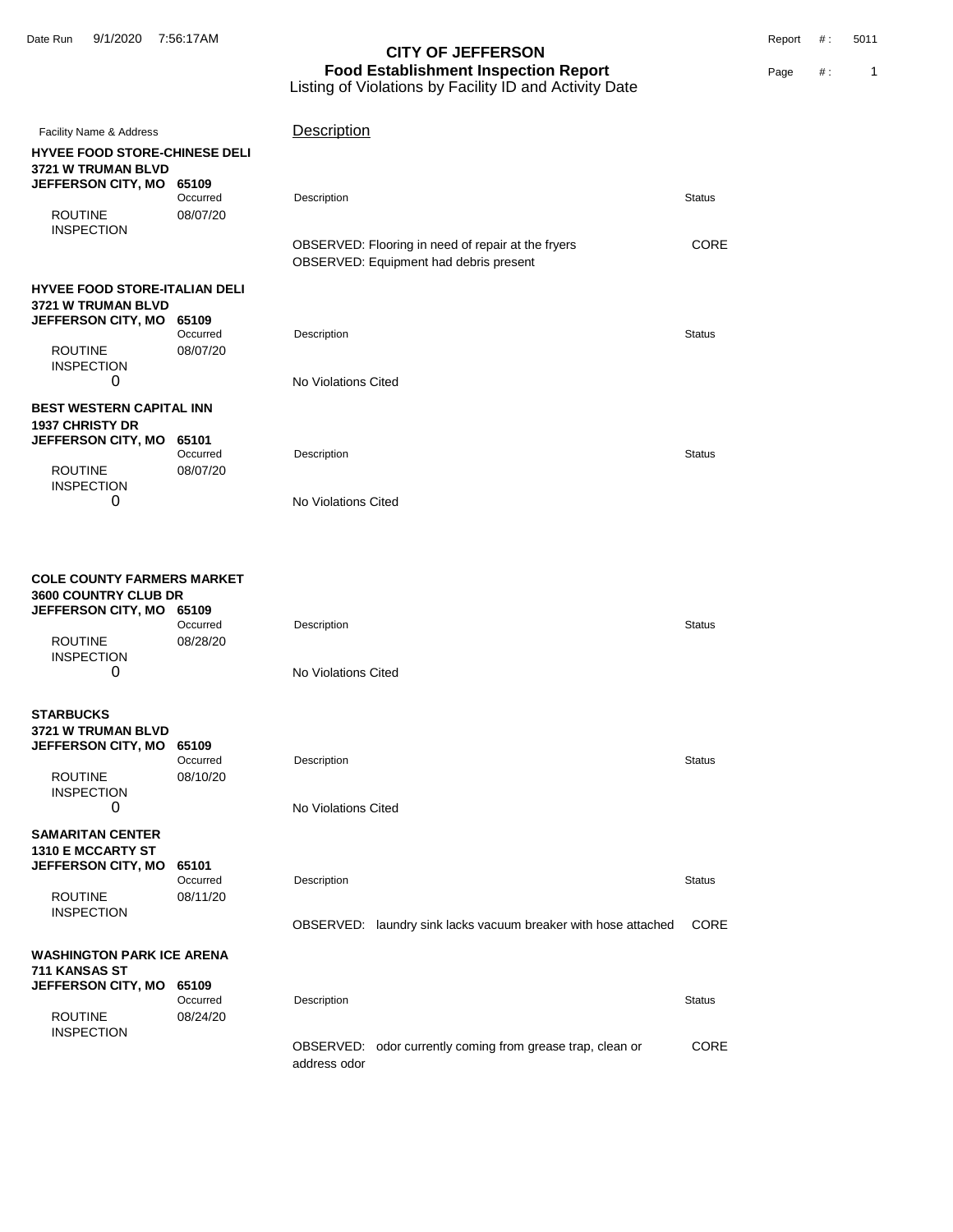Date Run 9/1/2020 7:56:17AM Report #: 5011

# **CITY OF JEFFERSON Food Establishment Inspection Report Page #** : 1 Listing of Violations by Facility ID and Activity Date

| Facility Name & Address                                                                                                           |                      | Description                                                                                  |               |
|-----------------------------------------------------------------------------------------------------------------------------------|----------------------|----------------------------------------------------------------------------------------------|---------------|
| <b>HYVEE FOOD STORE-CHINESE DELI</b><br>3721 W TRUMAN BLVD                                                                        |                      |                                                                                              |               |
| JEFFERSON CITY, MO 65109                                                                                                          | Occurred             | Description                                                                                  | <b>Status</b> |
| <b>ROUTINE</b><br><b>INSPECTION</b>                                                                                               | 08/07/20             |                                                                                              | <b>CORE</b>   |
|                                                                                                                                   |                      | OBSERVED: Flooring in need of repair at the fryers<br>OBSERVED: Equipment had debris present |               |
| HYVEE FOOD STORE-ITALIAN DELI<br><b>3721 W TRUMAN BLVD</b>                                                                        |                      |                                                                                              |               |
| JEFFERSON CITY, MO 65109                                                                                                          | Occurred             | Description                                                                                  | <b>Status</b> |
| <b>ROUTINE</b><br><b>INSPECTION</b>                                                                                               | 08/07/20             |                                                                                              |               |
| 0                                                                                                                                 |                      | No Violations Cited                                                                          |               |
| BEST WESTERN CAPITAL INN<br><b>1937 CHRISTY DR</b>                                                                                |                      |                                                                                              |               |
| <b>JEFFERSON CITY, MO</b>                                                                                                         | 65101<br>Occurred    | Description                                                                                  | <b>Status</b> |
| <b>ROUTINE</b><br><b>INSPECTION</b>                                                                                               | 08/07/20             |                                                                                              |               |
| 0                                                                                                                                 |                      | No Violations Cited                                                                          |               |
| COLE COUNTY FARMERS MARKET<br><b>3600 COUNTRY CLUB DR</b><br>JEFFERSON CITY, MO 65109<br><b>ROUTINE</b><br><b>INSPECTION</b><br>0 | Occurred<br>08/28/20 | Description<br>No Violations Cited                                                           | <b>Status</b> |
| <b>STARBUCKS</b>                                                                                                                  |                      |                                                                                              |               |
| <b>3721 W TRUMAN BLVD</b><br>JEFFERSON CITY, MO 65109                                                                             | Occurred             | Description                                                                                  | <b>Status</b> |
| <b>ROUTINE</b><br><b>INSPECTION</b>                                                                                               | 08/10/20             |                                                                                              |               |
| 0                                                                                                                                 |                      | No Violations Cited                                                                          |               |
| <b>SAMARITAN CENTER</b><br>1310 E MCCARTY ST<br>JEFFERSON CITY, MO                                                                | 65101<br>Occurred    | Description                                                                                  | <b>Status</b> |
| <b>ROUTINE</b><br><b>INSPECTION</b>                                                                                               | 08/11/20             |                                                                                              |               |
|                                                                                                                                   |                      | OBSERVED: laundry sink lacks vacuum breaker with hose attached                               | <b>CORE</b>   |
| <b>WASHINGTON PARK ICE ARENA</b><br>711 KANSAS ST                                                                                 |                      |                                                                                              |               |
| <b>JEFFERSON CITY, MO</b>                                                                                                         | 65109<br>Occurred    | Description                                                                                  | <b>Status</b> |
| <b>ROUTINE</b><br><b>INSPECTION</b>                                                                                               | 08/24/20             |                                                                                              |               |
|                                                                                                                                   |                      | OBSERVED: odor currently coming from grease trap, clean or                                   | CORE          |

address odor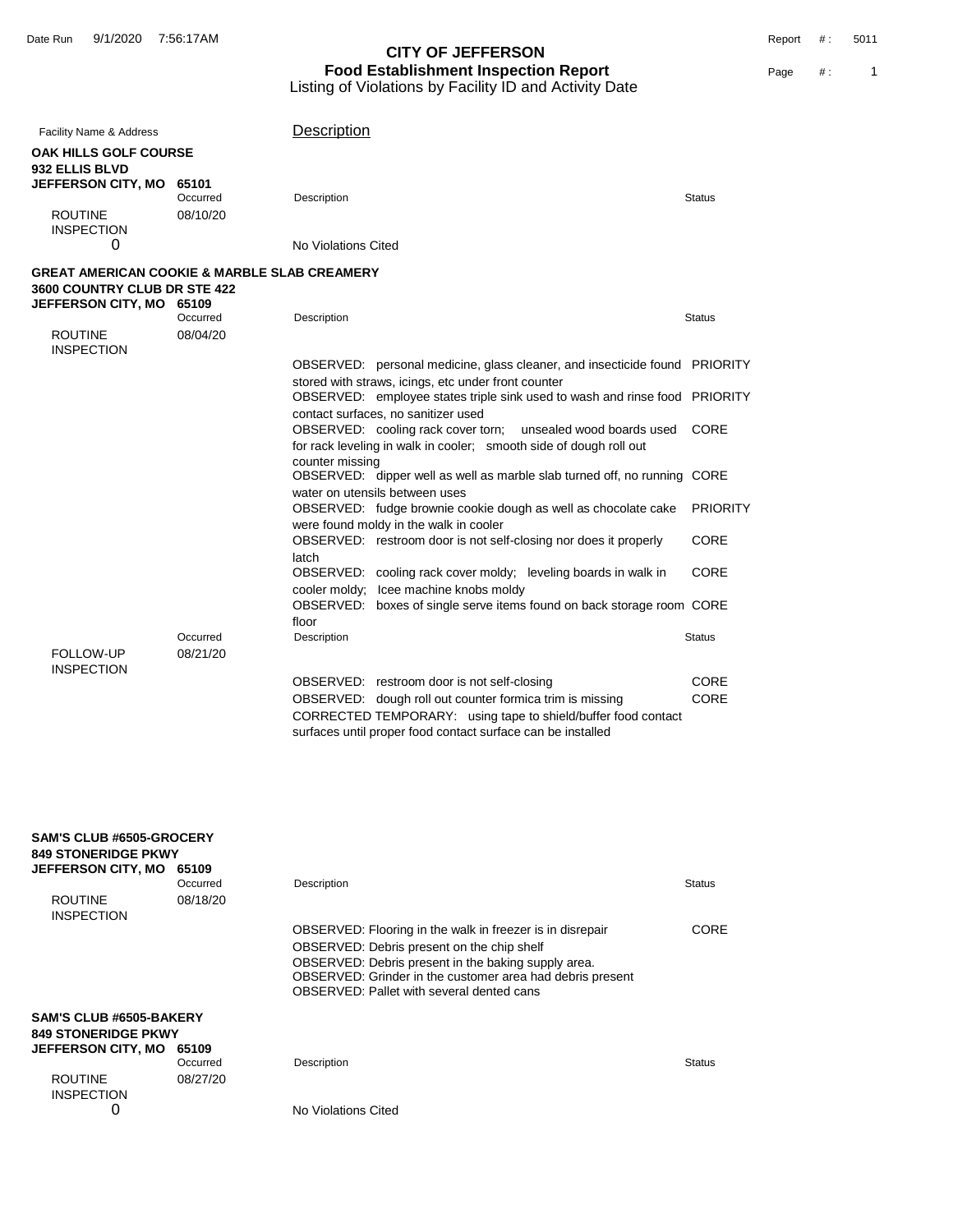| Facility Name & Address                                                                 |                      | Description                                                                                                                       |                 |
|-----------------------------------------------------------------------------------------|----------------------|-----------------------------------------------------------------------------------------------------------------------------------|-----------------|
| <b>OAK HILLS GOLF COURSE</b><br><b>932 ELLIS BLVD</b>                                   |                      |                                                                                                                                   |                 |
| <b>JEFFERSON CITY, MO</b>                                                               | 65101<br>Occurred    | Description                                                                                                                       | <b>Status</b>   |
| <b>ROUTINE</b><br><b>INSPECTION</b>                                                     | 08/10/20             |                                                                                                                                   |                 |
| 0                                                                                       |                      | No Violations Cited                                                                                                               |                 |
| <b>GREAT AMERICAN COOKIE &amp; MARBLE SLAB CREAMERY</b><br>3600 COUNTRY CLUB DR STE 422 |                      |                                                                                                                                   |                 |
| JEFFERSON CITY, MO 65109                                                                | Occurred             | Description                                                                                                                       | <b>Status</b>   |
| <b>ROUTINE</b><br><b>INSPECTION</b>                                                     | 08/04/20             |                                                                                                                                   |                 |
|                                                                                         |                      | OBSERVED: personal medicine, glass cleaner, and insecticide found PRIORITY                                                        |                 |
|                                                                                         |                      | stored with straws, icings, etc under front counter<br>OBSERVED: employee states triple sink used to wash and rinse food PRIORITY |                 |
|                                                                                         |                      | contact surfaces, no sanitizer used<br>OBSERVED: cooling rack cover torn;<br>unsealed wood boards used                            | CORE            |
|                                                                                         |                      | for rack leveling in walk in cooler; smooth side of dough roll out<br>counter missing                                             |                 |
|                                                                                         |                      | OBSERVED: dipper well as well as marble slab turned off, no running CORE<br>water on utensils between uses                        |                 |
|                                                                                         |                      | OBSERVED: fudge brownie cookie dough as well as chocolate cake<br>were found moldy in the walk in cooler                          | <b>PRIORITY</b> |
|                                                                                         |                      | OBSERVED: restroom door is not self-closing nor does it properly<br>latch                                                         | <b>CORE</b>     |
|                                                                                         |                      | OBSERVED: cooling rack cover moldy; leveling boards in walk in<br>cooler moldy; Icee machine knobs moldy                          | CORE            |
|                                                                                         |                      | OBSERVED: boxes of single serve items found on back storage room CORE<br>floor                                                    |                 |
| FOLLOW-UP                                                                               | Occurred<br>08/21/20 | Description                                                                                                                       | <b>Status</b>   |
| <b>INSPECTION</b>                                                                       |                      | OBSERVED: restroom door is not self-closing                                                                                       | CORE            |
|                                                                                         |                      | OBSERVED: dough roll out counter formica trim is missing                                                                          | CORE            |
|                                                                                         |                      | CORRECTED TEMPORARY: using tape to shield/buffer food contact<br>surfaces until proper food contact surface can be installed      |                 |
|                                                                                         |                      |                                                                                                                                   |                 |

| <b>SAM'S CLUB #6505-GROCERY</b><br><b>849 STONERIDGE PKWY</b><br><b>JEFFERSON CITY, MO</b> | 65109    |                                                                                                                  |               |
|--------------------------------------------------------------------------------------------|----------|------------------------------------------------------------------------------------------------------------------|---------------|
|                                                                                            | Occurred | Description                                                                                                      | <b>Status</b> |
| <b>ROUTINE</b><br><b>INSPECTION</b>                                                        | 08/18/20 |                                                                                                                  |               |
|                                                                                            |          | OBSERVED: Flooring in the walk in freezer is in disrepair                                                        | CORE          |
|                                                                                            |          | OBSERVED: Debris present on the chip shelf                                                                       |               |
|                                                                                            |          | OBSERVED: Debris present in the baking supply area.<br>OBSERVED: Grinder in the customer area had debris present |               |
|                                                                                            |          | OBSERVED: Pallet with several dented cans                                                                        |               |
| <b>SAM'S CLUB #6505-BAKERY</b><br><b>849 STONERIDGE PKWY</b>                               |          |                                                                                                                  |               |
| <b>JEFFERSON CITY, MO</b>                                                                  | 65109    |                                                                                                                  |               |
|                                                                                            | Occurred | Description                                                                                                      | <b>Status</b> |
| <b>ROUTINE</b>                                                                             | 08/27/20 |                                                                                                                  |               |
| <b>INSPECTION</b>                                                                          |          |                                                                                                                  |               |
|                                                                                            |          | No Violations Cited                                                                                              |               |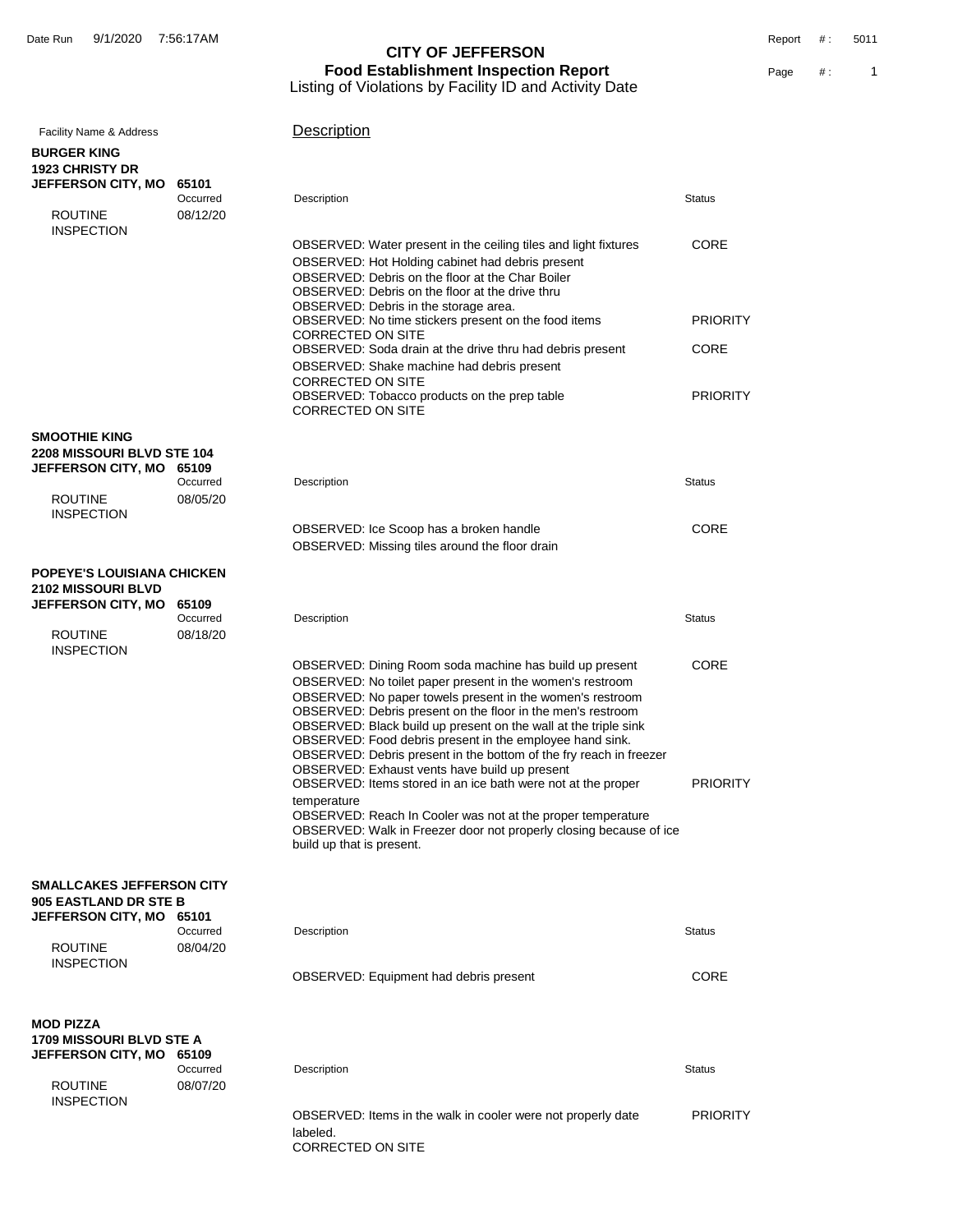| <b>Facility Name &amp; Address</b><br><b>BURGER KING</b>                         |                               | Description                                                                                                                                                                                                                                                                                                                                                                                                                                                                                                                                                            |                         |
|----------------------------------------------------------------------------------|-------------------------------|------------------------------------------------------------------------------------------------------------------------------------------------------------------------------------------------------------------------------------------------------------------------------------------------------------------------------------------------------------------------------------------------------------------------------------------------------------------------------------------------------------------------------------------------------------------------|-------------------------|
| <b>1923 CHRISTY DR</b>                                                           |                               |                                                                                                                                                                                                                                                                                                                                                                                                                                                                                                                                                                        |                         |
| JEFFERSON CITY, MO<br><b>ROUTINE</b>                                             | 65101<br>Occurred<br>08/12/20 | Description                                                                                                                                                                                                                                                                                                                                                                                                                                                                                                                                                            | <b>Status</b>           |
| <b>INSPECTION</b>                                                                |                               | OBSERVED: Water present in the ceiling tiles and light fixtures<br>OBSERVED: Hot Holding cabinet had debris present<br>OBSERVED: Debris on the floor at the Char Boiler<br>OBSERVED: Debris on the floor at the drive thru<br>OBSERVED: Debris in the storage area.                                                                                                                                                                                                                                                                                                    | CORE                    |
|                                                                                  |                               | OBSERVED: No time stickers present on the food items                                                                                                                                                                                                                                                                                                                                                                                                                                                                                                                   | <b>PRIORITY</b>         |
|                                                                                  |                               | <b>CORRECTED ON SITE</b><br>OBSERVED: Soda drain at the drive thru had debris present<br>OBSERVED: Shake machine had debris present                                                                                                                                                                                                                                                                                                                                                                                                                                    | CORE                    |
|                                                                                  |                               | <b>CORRECTED ON SITE</b><br>OBSERVED: Tobacco products on the prep table<br><b>CORRECTED ON SITE</b>                                                                                                                                                                                                                                                                                                                                                                                                                                                                   | <b>PRIORITY</b>         |
| <b>SMOOTHIE KING</b><br>2208 MISSOURI BLVD STE 104                               |                               |                                                                                                                                                                                                                                                                                                                                                                                                                                                                                                                                                                        |                         |
| JEFFERSON CITY, MO 65109<br><b>ROUTINE</b>                                       | Occurred<br>08/05/20          | Description                                                                                                                                                                                                                                                                                                                                                                                                                                                                                                                                                            | <b>Status</b>           |
| <b>INSPECTION</b>                                                                |                               | OBSERVED: Ice Scoop has a broken handle<br>OBSERVED: Missing tiles around the floor drain                                                                                                                                                                                                                                                                                                                                                                                                                                                                              | CORE                    |
| <b>POPEYE'S LOUISIANA CHICKEN</b>                                                |                               |                                                                                                                                                                                                                                                                                                                                                                                                                                                                                                                                                                        |                         |
| <b>2102 MISSOURI BLVD</b><br>JEFFERSON CITY, MO                                  | 65109                         |                                                                                                                                                                                                                                                                                                                                                                                                                                                                                                                                                                        |                         |
| <b>ROUTINE</b><br><b>INSPECTION</b>                                              | Occurred<br>08/18/20          | Description                                                                                                                                                                                                                                                                                                                                                                                                                                                                                                                                                            | <b>Status</b>           |
|                                                                                  |                               | OBSERVED: Dining Room soda machine has build up present<br>OBSERVED: No toilet paper present in the women's restroom<br>OBSERVED: No paper towels present in the women's restroom<br>OBSERVED: Debris present on the floor in the men's restroom<br>OBSERVED: Black build up present on the wall at the triple sink<br>OBSERVED: Food debris present in the employee hand sink.<br>OBSERVED: Debris present in the bottom of the fry reach in freezer<br>OBSERVED: Exhaust vents have build up present<br>OBSERVED: Items stored in an ice bath were not at the proper | CORE<br><b>PRIORITY</b> |
|                                                                                  |                               | temperature<br>OBSERVED: Reach In Cooler was not at the proper temperature<br>OBSERVED: Walk in Freezer door not properly closing because of ice<br>build up that is present.                                                                                                                                                                                                                                                                                                                                                                                          |                         |
| <b>SMALLCAKES JEFFERSON CITY</b><br>905 EASTLAND DR STE B                        |                               |                                                                                                                                                                                                                                                                                                                                                                                                                                                                                                                                                                        |                         |
| JEFFERSON CITY, MO 65101<br><b>ROUTINE</b>                                       | Occurred<br>08/04/20          | Description                                                                                                                                                                                                                                                                                                                                                                                                                                                                                                                                                            | <b>Status</b>           |
| <b>INSPECTION</b>                                                                |                               | <b>OBSERVED: Equipment had debris present</b>                                                                                                                                                                                                                                                                                                                                                                                                                                                                                                                          | CORE                    |
| <b>MOD PIZZA</b><br><b>1709 MISSOURI BLVD STE A</b><br><b>JEFFERSON CITY, MO</b> | 65109                         |                                                                                                                                                                                                                                                                                                                                                                                                                                                                                                                                                                        |                         |
| <b>ROUTINE</b>                                                                   | Occurred<br>08/07/20          | Description                                                                                                                                                                                                                                                                                                                                                                                                                                                                                                                                                            | <b>Status</b>           |
| <b>INSPECTION</b>                                                                |                               | OBSERVED: Items in the walk in cooler were not properly date<br>labeled.<br>CORRECTED ON SITE                                                                                                                                                                                                                                                                                                                                                                                                                                                                          | <b>PRIORITY</b>         |